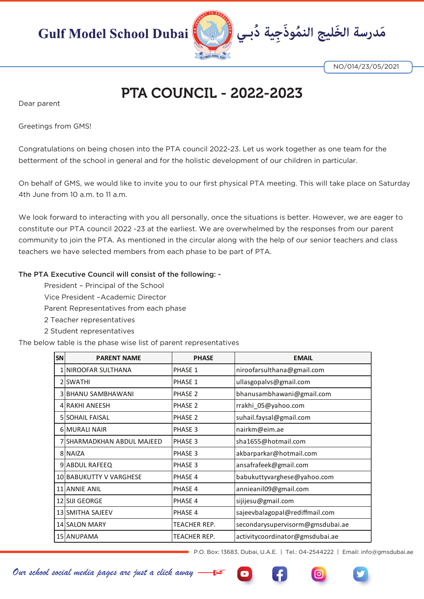

NO/014/23/05/2021

## PTA COUNCIL - 2022-2023

Dear parent

Greetings from GMS!

Congratulations on being chosen into the PTA council 2022-23. Let us work together as one team for the betterment of the school in general and for the holistic development of our children in particular.

On behalf of GMS, we would like to invite you to our first physical PTA meeting. This will take place on Saturday 4th June from 10 a.m. to 11 a.m.

We look forward to interacting with you all personally, once the situations is better. However, we are eager to constitute our PTA council 2022 -23 at the earliest. We are overwhelmed by the responses from our parent community to join the PTA. As mentioned in the circular along with the help of our senior teachers and class teachers we have selected members from each phase to be part of PTA.

## The PTA Executive Council will consist of the following: -

President – Principal of the School

Vice President –Academic Director

Parent Representatives from each phase

- 2 Teacher representatives
- 2 Student representatives

The below table is the phase wise list of parent representatives

| SN | <b>PARENT NAME</b>         | <b>PHASE</b> | <b>EMAIL</b>                     |
|----|----------------------------|--------------|----------------------------------|
|    | 1 NIROOFAR SULTHANA        | PHASE 1      | niroofarsulthana@gmail.com       |
|    | 2 SWATHI                   | PHASE 1      | ullasgopalvs@gmail.com           |
|    | 3 BHANU SAMBHAWANI         | PHASE 2      | bhanusambhawani@gmail.com        |
|    | 4 RAKHI ANEESH             | PHASE 2      | rrakhi 05@yahoo.com              |
|    | <b>5 SOHAIL FAISAL</b>     | PHASE 2      | suhail.faysal@gmail.com          |
|    | <b>6 MURALI NAIR</b>       | PHASE 3      | nairkm@eim.ae                    |
|    | 7 SHARMADKHAN ABDUL MAJEED | PHASE 3      | sha1655@hotmail.com              |
|    | 8 NAIZA                    | PHASE 3      | akbarparkar@hotmail.com          |
|    | 9 ABDUL RAFEEQ             | PHASE 3      | ansafrafeek@gmail.com            |
|    | 10 BABUKUTTY V VARGHESE    | PHASE 4      | babukuttyvarghese@yahoo.com      |
|    | 11 ANNIE ANIL              | PHASE 4      | annieanil09@gmail.com            |
|    | 12 SIJI GEORGE             | PHASE 4      | sijijesu@gmail.com               |
|    | 13 SMITHA SAJEEV           | PHASE 4      | sajeevbalagopal@rediffmail.com   |
|    | 14 SALON MARY              | TEACHER REP. | secondarysupervisorm@gmsdubai.ae |
|    | 15 ANUPAMA                 | TEACHER REP. | activitycoordinator@gmsdubai.ae  |

P.O. Box: 13683, Dubai, U.A.E. | Tel.: 04-2544222 | Email: info@gmsdubai.ae

*Our school social media pages are just a click away*